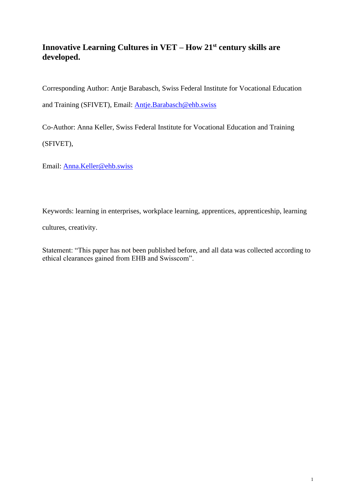# **Innovative Learning Cultures in VET – How 21st century skills are developed.**

Corresponding Author: Antje Barabasch, Swiss Federal Institute for Vocational Education and Training (SFIVET), Email: [Antje.Barabasch@ehb.swiss](mailto:Antje.Barabasch@ehb.swiss)

Co-Author: Anna Keller, Swiss Federal Institute for Vocational Education and Training

(SFIVET),

Email: [Anna.Keller@ehb.swiss](mailto:Anna.Keller@ehb.swiss)

Keywords: learning in enterprises, workplace learning, apprentices, apprenticeship, learning

cultures, creativity.

Statement: "This paper has not been published before, and all data was collected according to ethical clearances gained from EHB and Swisscom".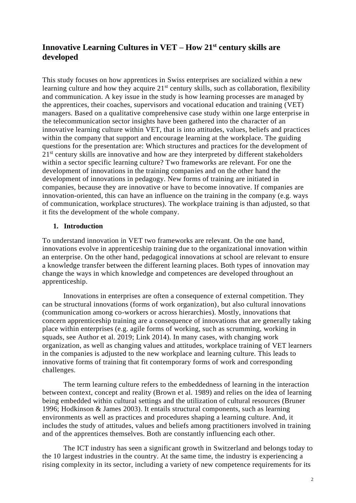# **Innovative Learning Cultures in VET – How 21st century skills are developed**

This study focuses on how apprentices in Swiss enterprises are socialized within a new learning culture and how they acquire  $21<sup>st</sup>$  century skills, such as collaboration, flexibility and communication. A key issue in the study is how learning processes are managed by the apprentices, their coaches, supervisors and vocational education and training (VET) managers. Based on a qualitative comprehensive case study within one large enterprise in the telecommunication sector insights have been gathered into the character of an innovative learning culture within VET, that is into attitudes, values, beliefs and practices within the company that support and encourage learning at the workplace. The guiding questions for the presentation are: Which structures and practices for the development of 21<sup>st</sup> century skills are innovative and how are they interpreted by different stakeholders within a sector specific learning culture? Two frameworks are relevant. For one the development of innovations in the training companies and on the other hand the development of innovations in pedagogy. New forms of training are initiated in companies, because they are innovative or have to become innovative. If companies are innovation-oriented, this can have an influence on the training in the company (e.g. ways of communication, workplace structures). The workplace training is than adjusted, so that it fits the development of the whole company.

#### **1. Introduction**

To understand innovation in VET two frameworks are relevant. On the one hand, innovations evolve in apprenticeship training due to the organizational innovation within an enterprise. On the other hand, pedagogical innovations at school are relevant to ensure a knowledge transfer between the different learning places. Both types of innovation may change the ways in which knowledge and competences are developed throughout an apprenticeship.

Innovations in enterprises are often a consequence of external competition. They can be structural innovations (forms of work organization), but also cultural innovations (communication among co-workers or across hierarchies). Mostly, innovations that concern apprenticeship training are a consequence of innovations that are generally taking place within enterprises (e.g. agile forms of working, such as scrumming, working in squads, see Author et al. 2019; Link 2014). In many cases, with changing work organization, as well as changing values and attitudes, workplace training of VET learners in the companies is adjusted to the new workplace and learning culture. This leads to innovative forms of training that fit contemporary forms of work and corresponding challenges.

The term learning culture refers to the embeddedness of learning in the interaction between context, concept and reality (Brown et al. 1989) and relies on the idea of learning being embedded within cultural settings and the utilization of cultural resources (Bruner 1996; Hodkinson & James 2003). It entails structural components, such as learning environments as well as practices and procedures shaping a learning culture. And, it includes the study of attitudes, values and beliefs among practitioners involved in training and of the apprentices themselves. Both are constantly influencing each other.

The ICT industry has seen a significant growth in Switzerland and belongs today to the 10 largest industries in the country. At the same time, the industry is experiencing a rising complexity in its sector, including a variety of new competence requirements for its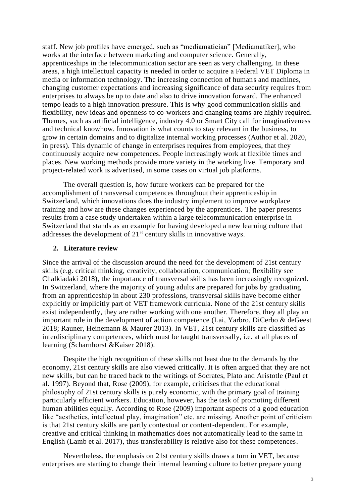staff. New job profiles have emerged, such as "mediamatician" [Mediamatiker], who works at the interface between marketing and computer science. Generally, apprenticeships in the telecommunication sector are seen as very challenging. In these areas, a high intellectual capacity is needed in order to acquire a Federal VET Diploma in media or information technology. The increasing connection of humans and machines, changing customer expectations and increasing significance of data security requires from enterprises to always be up to date and also to drive innovation forward. The enhanced tempo leads to a high innovation pressure. This is why good communication skills and flexibility, new ideas and openness to co-workers and changing teams are highly required. Themes, such as artificial intelligence, industry 4.0 or Smart City call for imaginativeness and technical knowhow. Innovation is what counts to stay relevant in the business, to grow in certain domains and to digitalize internal working processes (Author et al. 2020, in press). This dynamic of change in enterprises requires from employees, that they continuously acquire new competences. People increasingly work at flexible times and places. New working methods provide more variety in the working live. Temporary and project-related work is advertised, in some cases on virtual job platforms.

The overall question is, how future workers can be prepared for the accomplishment of transversal competences throughout their apprenticeship in Switzerland, which innovations does the industry implement to improve workplace training and how are these changes experienced by the apprentices. The paper presents results from a case study undertaken within a large telecommunication enterprise in Switzerland that stands as an example for having developed a new learning culture that addresses the development of  $21<sup>st</sup>$  century skills in innovative ways.

#### **2. Literature review**

Since the arrival of the discussion around the need for the development of 21st century skills (e.g. critical thinking, creativity, collaboration, communication; flexibility see Chalkiadaki 2018), the importance of transversal skills has been increasingly recognized. In Switzerland, where the majority of young adults are prepared for jobs by graduating from an apprenticeship in about 230 professions, transversal skills have become either explicitly or implicitly part of VET framework curricula. None of the 21st century skills exist independently, they are rather working with one another. Therefore, they all play an important role in the development of action competence (Lai, Yarbro, DiCerbo & deGeest 2018; Rauner, Heinemann & Maurer 2013). In VET, 21st century skills [are](https://de.pons.com/übersetzung/englisch-deutsch/are) [classified](https://de.pons.com/übersetzung/englisch-deutsch/classified) [as](https://de.pons.com/übersetzung/englisch-deutsch/as) interdisciplinary [competences,](https://de.pons.com/übersetzung/englisch-deutsch/competences) [which](https://de.pons.com/übersetzung/englisch-deutsch/which) must be [taught](https://de.pons.com/übersetzung/englisch-deutsch/taught) transversally, i.e. at all places of learning (Scharnhorst &Kaiser 2018).

Despite the high recognition of these skills not least due to the demands by the economy, 21st century skills are also viewed critically. It is often argued that they are not new skills, but can be traced back to the writings of Socrates, Plato and Aristotle (Paul et al. 1997). Beyond that, Rose (2009), for example, criticises that the educational philosophy of 21st century skills is purely economic, with the primary goal of training particularly efficient workers. Education, however, has the task of promoting different human abilities equally. According to Rose (2009) important aspects of a good education like "aesthetics, intellectual play, imagination" etc. are missing. Another point of criticism is that 21st century skills are partly contextual or content-dependent. For example, creative and critical thinking in mathematics does not automatically lead to the same in English (Lamb et al. 2017), thus transferability is relative also for these competences.

Nevertheless, the emphasis on 21st century skills draws a turn in VET, because enterprises are starting to change their internal learning culture to better prepare young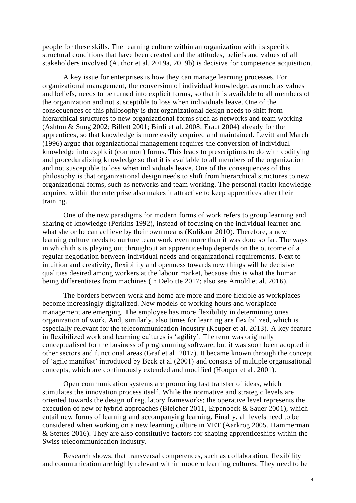people for these skills. The learning culture within an organization with its specific structural conditions that have been created and the attitudes, beliefs and values of all stakeholders involved (Author et al. 2019a, 2019b) is decisive for competence acquisition.

A key issue for enterprises is how they can manage learning processes. For organizational management, the conversion of individual knowledge, as much as values and beliefs, needs to be turned into explicit forms, so that it is available to all members of the organization and not susceptible to loss when individuals leave. One of the consequences of this philosophy is that organizational design needs to shift from hierarchical structures to new organizational forms such as networks and team working (Ashton & Sung 2002; Billett 2001; Birdi et al. 2008; Eraut 2004) already for the apprentices, so that knowledge is more easily acquired and maintained. Levitt and March (1996) argue that organizational management requires the conversion of individual knowledge into explicit (common) forms. This leads to prescriptions to do with codifying and proceduralizing knowledge so that it is available to all members of the organization and not susceptible to loss when individuals leave. One of the consequences of this philosophy is that organizational design needs to shift from hierarchical structures to new organizational forms, such as networks and team working. The personal (tacit) knowledge acquired within the enterprise also makes it attractive to keep apprentices after their training.

One of the new paradigms for modern forms of work refers to group learning and sharing of knowledge (Perkins 1992), instead of focusing on the individual learner and what she or he can achieve by their own means (Kolikant 2010). Therefore, a new learning culture needs to nurture team work even more than it was done so far. The ways in which this is playing out throughout an apprenticeship depends on the outcome of a regular negotiation between individual needs and organizational requirements. Next to intuition and creativity, flexibility and openness towards new things will be decisive qualities desired among workers at the labour market, because this is what the human being differentiates from machines (in Deloitte 2017; also see Arnold et al. 2016).

The borders between work and home are more and more flexible as workplaces become increasingly digitalized. New models of working hours and workplace management are emerging. The employee has more flexibility in determining ones organization of work. And, similarly, also times for learning are flexibilized, which is especially relevant for the telecommunication industry (Keuper et al. 2013). A key feature in flexibilized work and learning cultures is 'agility'. The term was originally conceptualised for the business of programming software, but it was soon been adopted in other sectors and functional areas (Graf et al. 2017). It became known through the concept of 'agile manifest' introduced by Beck et al (2001) and consists of multiple organisational concepts, which are continuously extended and modified (Hooper et al. 2001).

Open communication systems are promoting fast transfer of ideas, which stimulates the innovation process itself. While the normative and strategic levels are oriented towards the design of regulatory frameworks; the operative level represents the execution of new or hybrid approaches (Bleicher 2011, Erpenbeck & Sauer 2001), which entail new forms of learning and accompanying learning. Finally, all levels need to be considered when working on a new learning culture in VET (Aarkrog 2005, Hammerman & Stettes 2016). They are also constitutive factors for shaping apprenticeships within the Swiss telecommunication industry.

Research shows, that transversal competences, such as collaboration, flexibility and communication are highly relevant within modern learning cultures. They need to be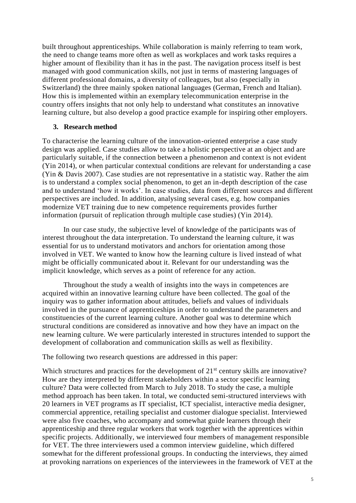built throughout apprenticeships. While collaboration is mainly referring to team work, the need to change teams more often as well as workplaces and work tasks requires a higher amount of flexibility than it has in the past. The navigation process itself is best managed with good communication skills, not just in terms of mastering languages of different professional domains, a diversity of colleagues, but also (especially in Switzerland) the three mainly spoken national languages (German, French and Italian). How this is implemented within an exemplary telecommunication enterprise in the country offers insights that not only help to understand what constitutes an innovative learning culture, but also develop a good practice example for inspiring other employers.

#### **3. Research method**

To characterise the learning culture of the innovation-oriented enterprise a case study design was applied. Case studies allow to take a holistic perspective at an object and are particularly suitable, if the connection between a phenomenon and context is not evident (Yin 2014), or when particular contextual conditions are relevant for understanding a case (Yin & Davis 2007). Case studies are not representative in a statistic way. Rather the aim is to understand a complex social phenomenon, to get an in-depth description of the case and to understand 'how it works'. In case studies, data from different sources and different perspectives are included. In addition, analysing several cases, e.g. how companies modernize VET training due to new competence requirements provides further information (pursuit of replication through multiple case studies) (Yin 2014).

In our case study, the subjective level of knowledge of the participants was of interest throughout the data interpretation. To understand the learning culture, it was essential for us to understand motivators and anchors for orientation among those involved in VET. We wanted to know how the learning culture is lived instead of what might be officially communicated about it. Relevant for our understanding was the implicit knowledge, which serves as a point of reference for any action.

Throughout the study a wealth of insights into the ways in competences are acquired within an innovative learning culture have been collected. The goal of the inquiry was to gather information about attitudes, beliefs and values of individuals involved in the pursuance of apprenticeships in order to understand the parameters and constituencies of the current learning culture. Another goal was to determine which structural conditions are considered as innovative and how they have an impact on the new learning culture. We were particularly interested in structures intended to support the development of collaboration and communication skills as well as flexibility.

The following two research questions are addressed in this paper:

Which structures and practices for the development of  $21<sup>st</sup>$  century skills are innovative? How are they interpreted by different stakeholders within a sector specific learning culture? Data were collected from March to July 2018. To study the case, a multiple method approach has been taken. In total, we conducted semi-structured interviews with 20 learners in VET programs as IT specialist, ICT specialist, interactive media designer, commercial apprentice, retailing specialist and customer dialogue specialist. Interviewed were also five coaches, who accompany and somewhat guide learners through their apprenticeship and three regular workers that work together with the apprentices within specific projects. Additionally, we interviewed four members of management responsible for VET. The three interviewers used a common interview guideline, which differed somewhat for the different professional groups. In conducting the interviews, they aimed at provoking narrations on experiences of the interviewees in the framework of VET at the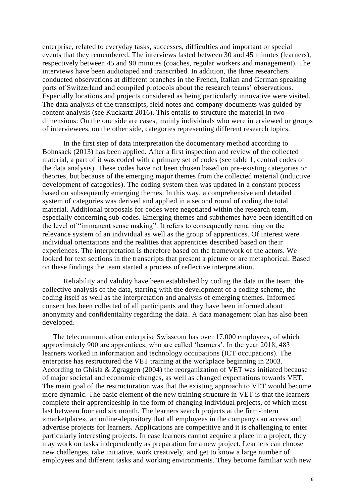enterprise, related to everyday tasks, successes, difficulties and important or special events that they remembered. The interviews lasted between 30 and 45 minutes (learners), respectively between 45 and 90 minutes (coaches, regular workers and management). The interviews have been audiotaped and transcribed. In addition, the three researchers conducted observations at different branches in the French, Italian and German speaking parts of Switzerland and compiled protocols about the research teams' observations. Especially locations and projects considered as being particularly innovative were visited. The data analysis of the transcripts, field notes and company documents was guided by content analysis (see Kuckartz 2016). This entails to structure the material in two dimensions: On the one side are cases, mainly individuals who were interviewed or groups of interviewees, on the other side, categories representing different research topics.

In the first step of data interpretation the documentary method according to Bohnsack (2013) has been applied. After a first inspection and review of the collected material, a part of it was coded with a primary set of codes (see table 1, central codes of the data analysis). These codes have not been chosen based on pre-existing categories or theories, but because of the emerging major themes from the collected material (inductive development of categories). The coding system then was updated in a constant process based on subsequently emerging themes. In this way, a comprehensive and detailed system of categories was derived and applied in a second round of coding the total material. Additional proposals for codes were negotiated within the research team, especially concerning sub-codes. Emerging themes and subthemes have been identified on the level of "immanent sense making". It refers to consequently remaining on the relevance system of an individual as well as the group of apprentices. Of interest were individual orientations and the realities that apprentices described based on their experiences. The interpretation is therefore based on the framework of the actors. We looked for text sections in the transcripts that present a picture or are metaphorical. Based on these findings the team started a process of reflective interpretation.

Reliability and validity have been established by coding the data in the team, the collective analysis of the data, starting with the development of a coding scheme, the coding itself as well as the interpretation and analysis of emerging themes. Informed consent has been collected of all participants and they have been informed about anonymity and confidentiality regarding the data. A data management plan has also been developed.

The telecommunication enterprise Swisscom has over 17.000 employees, of which approximately 900 are apprentices, who are called 'learners'. In the year 2018, 483 learners worked in information and technology occupations (ICT occupations). The enterprise has restructured the VET training at the workplace beginning in 2003. According to Ghisla & Zgraggen (2004) the reorganization of VET was initiated because of major societal and economic changes, as well as changed expectations towards VET. The main goal of the restructuration was that the existing approach to VET would become more dynamic. The basic element of the new training structure in VET is that the learners complete their apprenticeship in the form of changing individual projects, of which most last between four and six month. The learners search projects at the firm-intern «marketplace», an online-depository that all employees in the company can access and advertise projects for learners. Applications are competitive and it is challenging to enter particularly interesting projects. In case learners cannot acquire a place in a project, they may work on tasks independently as preparation for a new project. Learners can choose new challenges, take initiative, work creatively, and get to know a large number of employees and different tasks and working environments. They become familiar with new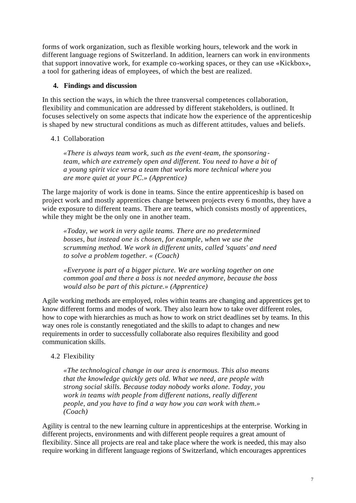forms of work organization, such as flexible working hours, telework and the work in different language regions of Switzerland. In addition, learners can work in environments that support innovative work, for example co-working spaces, or they can use «Kickbox», a tool for gathering ideas of employees, of which the best are realized.

### **4. Findings and discussion**

In this section the ways, in which the three transversal competences collaboration, flexibility and communication are addressed by different stakeholders, is outlined. It focuses selectively on some aspects that indicate how the experience of the apprenticeship is shaped by new structural conditions as much as different attitudes, values and beliefs.

## 4.1 Collaboration

*«There is always team work, such as the event*‐*team, the sponsoring*‐ *team, which are extremely open and different. You need to have a bit of a young spirit vice versa a team that works more technical where you are more quiet at your PC.» (Apprentice)*

The large majority of work is done in teams. Since the entire apprenticeship is based on project work and mostly apprentices change between projects every 6 months, they have a wide exposure to different teams. There are teams, which consists mostly of apprentices, while they might be the only one in another team.

*«Today, we work in very agile teams. There are no predetermined bosses, but instead one is chosen, for example, when we use the scrumming method. We work in different units, called 'squats' and need to solve a problem together. « (Coach)*

*«Everyone is part of a bigger picture. We are working together on one common goal and there a boss is not needed anymore, because the boss would also be part of this picture.» (Apprentice)*

Agile working methods are employed, roles within teams are changing and apprentices get to know different forms and modes of work. They also learn how to take over different roles, how to cope with hierarchies as much as how to work on strict deadlines set by teams. In this way ones role is constantly renegotiated and the skills to adapt to changes and new requirements in order to successfully collaborate also requires flexibility and good communication skills.

## 4.2 Flexibility

*«The technological change in our area is enormous. This also means that the knowledge quickly gets old. What we need, are people with strong social skills. Because today nobody works alone. Today, you work in teams with people from different nations, really different people, and you have to find a way how you can work with them.» (Coach)* 

Agility is central to the new learning culture in apprenticeships at the enterprise. Working in different projects, environments and with different people requires a great amount of flexibility. Since all projects are real and take place where the work is needed, this may also require working in different language regions of Switzerland, which encourages apprentices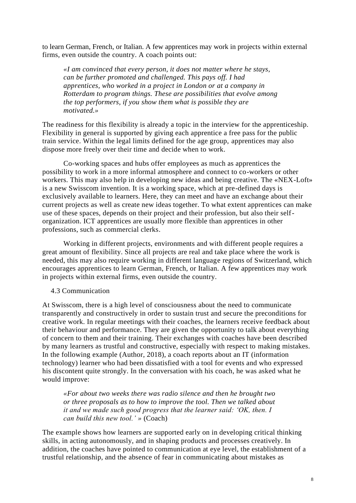to learn German, French, or Italian. A few apprentices may work in projects within external firms, even outside the country. A coach points out:

*«I am convinced that every person, it does not matter where he stays, can be further promoted and challenged. This pays off. I had apprentices, who worked in a project in London or at a company in Rotterdam to program things. These are possibilities that evolve among the top performers, if you show them what is possible they are motivated.»* 

The readiness for this flexibility is already a topic in the interview for the apprenticeship. Flexibility in general is supported by giving each apprentice a free pass for the public train service. Within the legal limits defined for the age group, apprentices may also dispose more freely over their time and decide when to work.

Co-working spaces and hubs offer employees as much as apprentices the possibility to work in a more informal atmosphere and connect to co-workers or other workers. This may also help in developing new ideas and being creative. The «NEX-Loft» is a new Swisscom invention. It is a working space, which at pre-defined days is exclusively available to learners. Here, they can meet and have an exchange about their current projects as well as create new ideas together. To what extent apprentices can make use of these spaces, depends on their project and their profession, but also their selforganization. ICT apprentices are usually more flexible than apprentices in other professions, such as commercial clerks.

Working in different projects, environments and with different people requires a great amount of flexibility. Since all projects are real and take place where the work is needed, this may also require working in different language regions of Switzerland, which encourages apprentices to learn German, French, or Italian. A few apprentices may work in projects within external firms, even outside the country.

4.3 Communication

At Swisscom, there is a high level of consciousness about the need to communicate transparently and constructively in order to sustain trust and secure the preconditions for creative work. In regular meetings with their coaches, the learners receive feedback about their behaviour and performance. They are given the opportunity to talk about everything of concern to them and their training. Their exchanges with coaches have been described by many learners as trustful and constructive, especially with respect to making mistakes. In the following example (Author, 2018), a coach reports about an IT (information technology) learner who had been dissatisfied with a tool for events and who expressed his discontent quite strongly. In the conversation with his coach, he was asked what he would improve:

*«For about two weeks there was radio silence and then he brought two or three proposals as to how to improve the tool. Then we talked about it and we made such good progress that the learner said: 'OK, then. I can build this new tool.' »* (Coach)

The example shows how learners are supported early on in developing critical thinking skills, in acting autonomously, and in shaping products and processes creatively. In addition, the coaches have pointed to communication at eye level, the establishment of a trustful relationship, and the absence of fear in communicating about mistakes as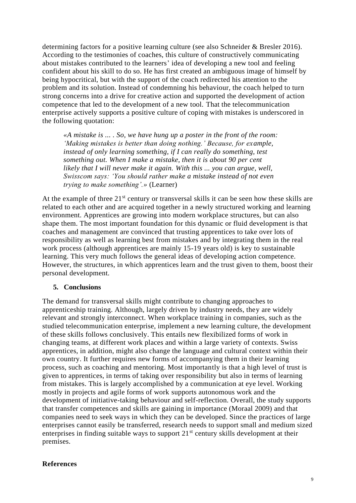determining factors for a positive learning culture (see also Schneider & Bresler 2016). According to the testimonies of coaches, this culture of constructively communicating about mistakes contributed to the learners' idea of developing a new tool and feeling confident about his skill to do so. He has first created an ambiguous image of himself by being hypocritical, but with the support of the coach redirected his attention to the problem and its solution. Instead of condemning his behaviour, the coach helped to turn strong concerns into a drive for creative action and supported the development of action competence that led to the development of a new tool. That the telecommunication enterprise actively supports a positive culture of coping with mistakes is underscored in the following quotation:

*«A mistake is ... . So, we have hung up a poster in the front of the room: 'Making mistakes is better than doing nothing.' Because, for example, instead of only learning something, if I can really do something, test something out. When I make a mistake, then it is about 90 per cent likely that I will never make it again. With this ... you can argue, well, Swisscom says: 'You should rather make a mistake instead of not even trying to make something'.»* (Learner)

At the example of three  $21<sup>st</sup>$  century or transversal skills it can be seen how these skills are related to each other and are acquired together in a newly structured working and learning environment. Apprentices are growing into modern workplace structures, but can also shape them. The most important foundation for this dynamic or fluid development is that coaches and management are convinced that trusting apprentices to take over lots of responsibility as well as learning best from mistakes and by integrating them in the real work process (although apprentices are mainly 15-19 years old) is key to sustainable learning. This very much follows the general ideas of developing action competence. However, the structures, in which apprentices learn and the trust given to them, boost their personal development.

### **5. Conclusions**

The demand for transversal skills might contribute to changing approaches to apprenticeship training. Although, largely driven by industry needs, they are widely relevant and strongly interconnect. When workplace training in companies, such as the studied telecommunication enterprise, implement a new learning culture, the development of these skills follows conclusively. This entails new flexibilized forms of work in changing teams, at different work places and within a large variety of contexts. Swiss apprentices, in addition, might also change the language and cultural context within their own country. It further requires new forms of accompanying them in their learning process, such as coaching and mentoring. Most importantly is that a high level of trust is given to apprentices, in terms of taking over responsibility but also in terms of learning from mistakes. This is largely accomplished by a communication at eye level. Working mostly in projects and agile forms of work supports autonomous work and the development of initiative-taking behaviour and self-reflection. Overall, the study supports that transfer competences and skills are gaining in importance (Moraal 2009) and that companies need to seek ways in which they can be developed. Since the practices of large enterprises cannot easily be transferred, research needs to support small and medium sized enterprises in finding suitable ways to support  $21<sup>st</sup>$  century skills development at their premises.

#### **References**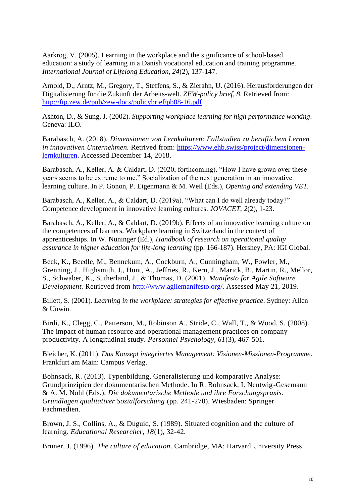Aarkrog, V. (2005). Learning in the workplace and the significance of school‐based education: a study of learning in a Danish vocational education and training programme. *International Journal of Lifelong Education, 24*(2), 137-147.

Arnold, D., Arntz, M., Gregory, T., Steffens, S., & Zierahn, U. (2016). Herausforderungen der Digitalisierung für die Zukunft der Arbeits-welt. *ZEW-policy brief, 8*. Retrieved from: <http://ftp.zew.de/pub/zew-docs/policybrief/pb08-16.pdf>

Ashton, D., & Sung, J. (2002). *Supporting workplace learning for high performance working*. Geneva: ILO.

Barabasch, A. (2018). *Dimensionen von Lernkulturen: Fallstudien zu beruflichem Lernen in innovativen Unternehmen.* Retrived from: [https://www.ehb.swiss/project/dimensionen](https://www.ehb.swiss/project/dimensionen-lernkulturen)[lernkulturen.](https://www.ehb.swiss/project/dimensionen-lernkulturen) Accessed December 14, 2018.

Barabasch, A., Keller, A. & Caldart, D. (2020, forthcoming). "How I have grown over these years seems to be extreme to me." Socialization of the next generation in an innovative learning culture. In P. Gonon, P. Eigenmann & M. Weil (Eds.), *Opening and extending VET.*

Barabasch, A., Keller, A., & Caldart, D. (2019a). "What can I do well already today?" Competence development in innovative learning cultures. *JOVACET, 2*(2), 1-23.

Barabasch, A., Keller, A., & Caldart, D. (2019b). Effects of an innovative learning culture on the competences of learners. Workplace learning in Switzerland in the context of apprenticeships. In W. Nuninger (Ed.), *Handbook of research on operational quality assurance in higher education for life-long learning* (pp. 166-187). Hershey, PA: IGI Global.

Beck, K., Beedle, M., Bennekum, A., Cockburn, A., Cunningham, W., Fowler, M., Grenning, J., Highsmith, J., Hunt, A., Jeffries, R., Kern, J., Marick, B., Martin, R., Mellor, S., Schwaber, K., Sutherland, J., & Thomas, D. (2001). *Manifesto for Agile Software Development.* Retrieved from http://www.agilemanifesto.org/. Assessed May 21, 2019.

Billett, S. (2001). *Learning in the workplace: strategies for effective practice*. Sydney: Allen & Unwin.

Birdi, K., Clegg, C., Patterson, M., Robinson A., Stride, C., Wall, T., & Wood, S. (2008). The impact of human resource and operational management practices on company productivity. A longitudinal study. *Personnel Psychology, 61*(3), 467-501.

Bleicher, K. (2011). *Das Konzept integriertes Management: Visionen-Missionen-Programme*. Frankfurt am Main: Campus Verlag.

Bohnsack, R. (2013). Typenbildung, Generalisierung und komparative Analyse: Grundprinzipien der dokumentarischen Methode. In R. Bohnsack, I. Nentwig-Gesemann & A. M. Nohl (Eds.), *Die dokumentarische Methode und ihre Forschungspraxis. Grundlagen qualitativer Sozialforschung* (pp. 241-270). Wiesbaden: Springer Fachmedien.

Brown, J. S., Collins, A., & Duguid, S. (1989). Situated cognition and the culture of learning. *Educational Researcher, 18*(1), 32-42.

Bruner, J. (1996). *The culture of education*. Cambridge, MA: Harvard University Press.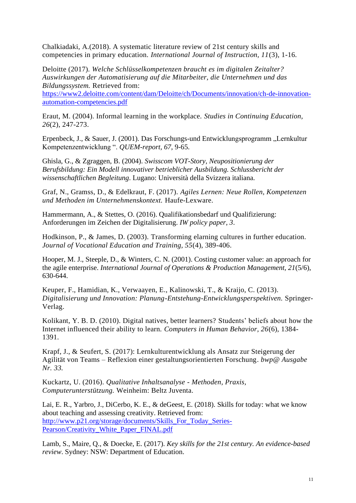Chalkiadaki, A.(2018). A systematic literature review of 21st century skills and competencies in primary education. *International Journal of Instruction, 11*(3), 1-16.

Deloitte (2017). *Welche Schlüsselkompetenzen braucht es im digitalen Zeitalter? Auswirkungen der Automatisierung auf die Mitarbeiter, die Unternehmen und das Bildungssystem.* Retrieved from:

[https://www2.deloitte.com/content/dam/Deloitte/ch/Documents/innovation/ch-de-innovation](https://www2.deloitte.com/content/dam/Deloitte/ch/Documents/innovation/ch-de-innovation-automation-competencies.pdf)[automation-competencies.pdf](https://www2.deloitte.com/content/dam/Deloitte/ch/Documents/innovation/ch-de-innovation-automation-competencies.pdf)

Eraut, M. (2004). Informal learning in the workplace. *Studies in Continuing Education, 26*(2), 247-273.

Erpenbeck, J., & Sauer, J. (2001). Das Forschungs-und Entwicklungsprogramm "Lernkultur Kompetenzentwicklung ". *QUEM-report, 67*, 9-65.

Ghisla, G., & Zgraggen, B. (2004). *Swisscom VOT-Story, Neupositionierung der Berufsbildung: Ein Modell innovativer betrieblicher Ausbildung. Schlussbericht der wissenschaftlichen Begleitung*. Lugano: Università della Svizzera italiana.

Graf, N., Gramss, D., & Edelkraut, F. (2017). *Agiles Lernen: Neue Rollen, Kompetenzen und Methoden im Unternehmenskontext.* Haufe-Lexware.

Hammermann, A., & Stettes, O. (2016). Qualifikationsbedarf und Qualifizierung: Anforderungen im Zeichen der Digitalisierung. *IW policy paper, 3*.

Hodkinson, P., & James, D. (2003). Transforming elarning cultures in further education. *Journal of Vocational Education and Training, 55*(4), 389-406.

Hooper, M. J., Steeple, D., & Winters, C. N. (2001). Costing customer value: an approach for the agile enterprise. *International Journal of Operations & Production Management, 21*(5/6), 630-644.

Keuper, F., Hamidian, K., Verwaayen, E., Kalinowski, T., & Kraijo, C. (2013). *Digitalisierung und Innovation: Planung-Entstehung-Entwicklungsperspektiven.* Springer-Verlag.

Kolikant, Y. B. D. (2010). Digital natives, better learners? Students' beliefs about how the Internet influenced their ability to learn. *Computers in Human Behavior, 26*(6), 1384- 1391.

Krapf, J., & Seufert, S. (2017): Lernkulturentwicklung als Ansatz zur Steigerung der Agilität von Teams – Reflexion einer gestaltungsorientierten Forschung. *bwp@ Ausgabe Nr. 33.*

Kuckartz, U. (2016). *Qualitative Inhaltsanalyse - Methoden, Praxis, Computerunterstützung.* Weinheim: Beltz Juventa.

Lai, E. R., Yarbro, J., DiCerbo, K. E., & deGeest, E. (2018). Skills for today: what we know about teaching and assessing creativity. Retrieved from: [http://www.p21.org/storage/documents/Skills\\_For\\_Today\\_Series-](http://www.p21.org/storage/documents/Skills_For_Today_Series-Pearson/Creativity_White_Paper_FINAL.pdf)[Pearson/Creativity\\_White\\_Paper\\_FINAL.pdf](http://www.p21.org/storage/documents/Skills_For_Today_Series-Pearson/Creativity_White_Paper_FINAL.pdf)

Lamb, S., Maire, Q., & Doecke, E. (2017). *Key skills for the 21st century. An evidence-based review*. Sydney: NSW: Department of Education.